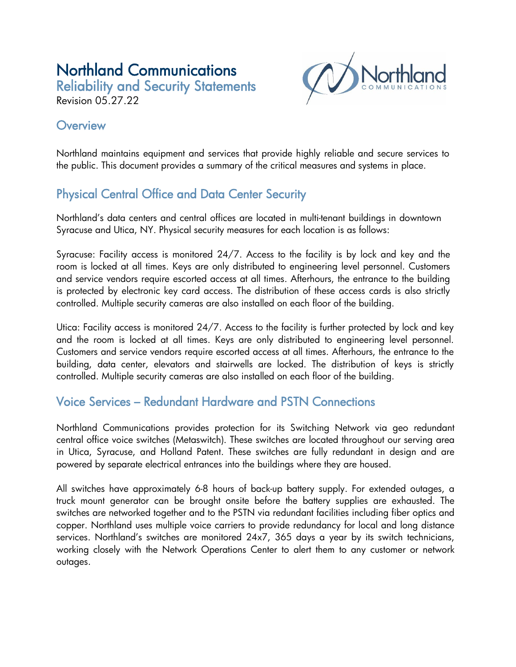# Northland Communications

Reliability and Security Statements Revision 05.27.22



### **Overview**

Northland maintains equipment and services that provide highly reliable and secure services to the public. This document provides a summary of the critical measures and systems in place.

# Physical Central Office and Data Center Security

Northland's data centers and central offices are located in multi-tenant buildings in downtown Syracuse and Utica, NY. Physical security measures for each location is as follows:

Syracuse: Facility access is monitored 24/7. Access to the facility is by lock and key and the room is locked at all times. Keys are only distributed to engineering level personnel. Customers and service vendors require escorted access at all times. Afterhours, the entrance to the building is protected by electronic key card access. The distribution of these access cards is also strictly controlled. Multiple security cameras are also installed on each floor of the building.

Utica: Facility access is monitored 24/7. Access to the facility is further protected by lock and key and the room is locked at all times. Keys are only distributed to engineering level personnel. Customers and service vendors require escorted access at all times. Afterhours, the entrance to the building, data center, elevators and stairwells are locked. The distribution of keys is strictly controlled. Multiple security cameras are also installed on each floor of the building.

## Voice Services – Redundant Hardware and PSTN Connections

Northland Communications provides protection for its Switching Network via geo redundant central office voice switches (Metaswitch). These switches are located throughout our serving area in Utica, Syracuse, and Holland Patent. These switches are fully redundant in design and are powered by separate electrical entrances into the buildings where they are housed.

All switches have approximately 6-8 hours of back-up battery supply. For extended outages, a truck mount generator can be brought onsite before the battery supplies are exhausted. The switches are networked together and to the PSTN via redundant facilities including fiber optics and copper. Northland uses multiple voice carriers to provide redundancy for local and long distance services. Northland's switches are monitored 24x7, 365 days a year by its switch technicians, working closely with the Network Operations Center to alert them to any customer or network outages.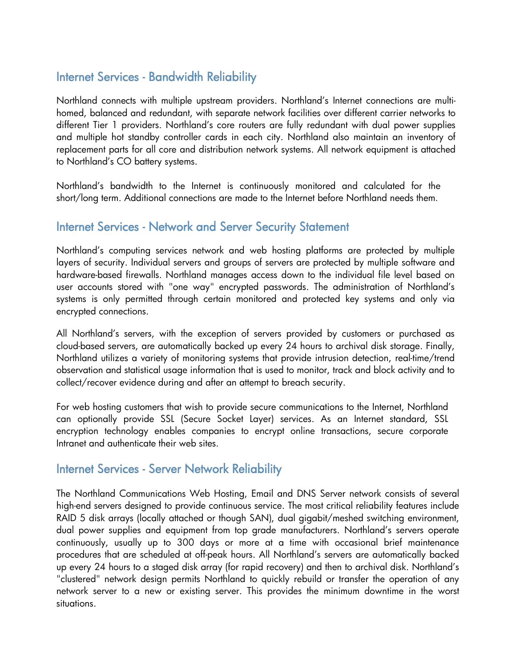#### Internet Services - Bandwidth Reliability

Northland connects with multiple upstream providers. Northland's Internet connections are multihomed, balanced and redundant, with separate network facilities over different carrier networks to different Tier 1 providers. Northland's core routers are fully redundant with dual power supplies and multiple hot standby controller cards in each city. Northland also maintain an inventory of replacement parts for all core and distribution network systems. All network equipment is attached to Northland's CO battery systems.

Northland's bandwidth to the Internet is continuously monitored and calculated for the short/long term. Additional connections are made to the Internet before Northland needs them.

#### Internet Services - Network and Server Security Statement

Northland's computing services network and web hosting platforms are protected by multiple layers of security. Individual servers and groups of servers are protected by multiple software and hardware-based firewalls. Northland manages access down to the individual file level based on user accounts stored with "one way" encrypted passwords. The administration of Northland's systems is only permitted through certain monitored and protected key systems and only via encrypted connections.

All Northland's servers, with the exception of servers provided by customers or purchased as cloud-based servers, are automatically backed up every 24 hours to archival disk storage. Finally, Northland utilizes a variety of monitoring systems that provide intrusion detection, real-time/trend observation and statistical usage information that is used to monitor, track and block activity and to collect/recover evidence during and after an attempt to breach security.

For web hosting customers that wish to provide secure communications to the Internet, Northland can optionally provide SSL (Secure Socket Layer) services. As an Internet standard, SSL encryption technology enables companies to encrypt online transactions, secure corporate Intranet and authenticate their web sites.

#### Internet Services - Server Network Reliability

The Northland Communications Web Hosting, Email and DNS Server network consists of several high-end servers designed to provide continuous service. The most critical reliability features include RAID 5 disk arrays (locally attached or though SAN), dual gigabit/meshed switching environment, dual power supplies and equipment from top grade manufacturers. Northland's servers operate continuously, usually up to 300 days or more at a time with occasional brief maintenance procedures that are scheduled at off-peak hours. All Northland's servers are automatically backed up every 24 hours to a staged disk array (for rapid recovery) and then to archival disk. Northland's "clustered" network design permits Northland to quickly rebuild or transfer the operation of any network server to a new or existing server. This provides the minimum downtime in the worst situations.